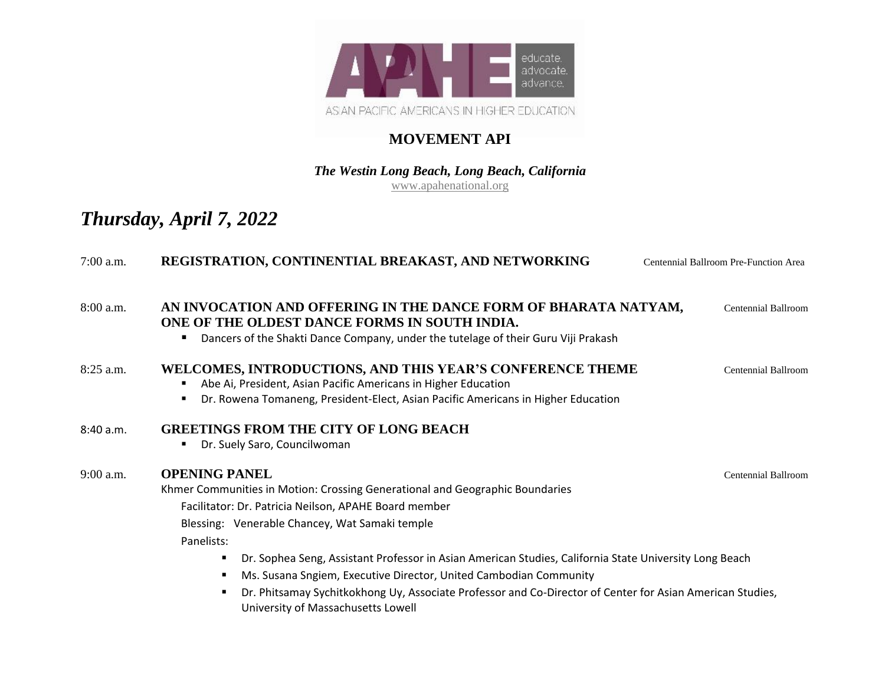

## **MOVEMENT API**

*The Westin Long Beach, Long Beach, California* [www.apahenational.org](http://www.apahenational.org/)

# *Thursday, April 7, 2022*

# 7:00 a.m. **REGISTRATION, CONTINENTIAL BREAKAST, AND NETWORKING** Centennial Ballroom Pre-Function Area 8:00 a.m. **AN INVOCATION AND OFFERING IN THE DANCE FORM OF BHARATA NATYAM,** Centennial Ballroom **ONE OF THE OLDEST DANCE FORMS IN SOUTH INDIA.**  Dancers of the Shakti Dance Company, under the tutelage of their Guru Viji Prakash 8:25 a.m. **WELCOMES, INTRODUCTIONS, AND THIS YEAR'S CONFERENCE THEME** Centennial Ballroom Abe Ai, President, Asian Pacific Americans in Higher Education Dr. Rowena Tomaneng, President-Elect, Asian Pacific Americans in Higher Education 8:40 a.m. **GREETINGS FROM THE CITY OF LONG BEACH** Dr. Suely Saro, Councilwoman 9:00 a.m. **OPENING PANEL** Centennial Ballroom Khmer Communities in Motion: Crossing Generational and Geographic Boundaries Facilitator: Dr. Patricia Neilson, APAHE Board member Blessing: Venerable Chancey, Wat Samaki temple Panelists: Dr. Sophea Seng, Assistant Professor in Asian American Studies, California State University Long Beach Ms. Susana Sngiem, Executive Director, United Cambodian Community Dr. Phitsamay Sychitkokhong Uy, Associate Professor and Co-Director of Center for Asian American Studies, University of Massachusetts Lowell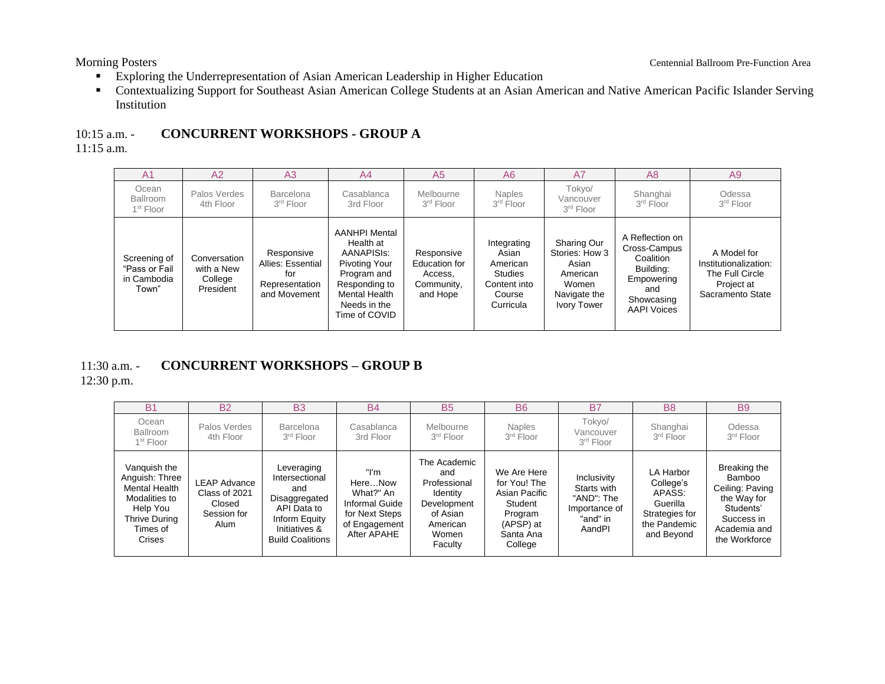- **Exploring the Underrepresentation of Asian American Leadership in Higher Education**
- Contextualizing Support for Southeast Asian American College Students at an Asian American and Native American Pacific Islander Serving Institution

### 10:15 a.m. - **CONCURRENT WORKSHOPS - GROUP A**

11:15 a.m.

| A <sub>1</sub>                                        | A2                                                 | A <sub>3</sub>                                                           | A <sub>4</sub>                                                                                                                                                   | A <sub>5</sub>                                                   | A6                                                                                        | A7                                                                                                | A8                                                                                                                 | A9                                                                                        |
|-------------------------------------------------------|----------------------------------------------------|--------------------------------------------------------------------------|------------------------------------------------------------------------------------------------------------------------------------------------------------------|------------------------------------------------------------------|-------------------------------------------------------------------------------------------|---------------------------------------------------------------------------------------------------|--------------------------------------------------------------------------------------------------------------------|-------------------------------------------------------------------------------------------|
| Ocean<br><b>Ballroom</b><br>1 <sup>st</sup> Floor     | Palos Verdes<br>4th Floor                          | <b>Barcelona</b><br>$3rd$ Floor                                          | Casablanca<br>3rd Floor                                                                                                                                          | Melbourne<br>$3rd$ Floor                                         | Naples<br>$3rd$ Floor                                                                     | Tokyo/<br>Vancouver<br>$3rd$ Floor                                                                | Shanghai<br>3 <sup>rd</sup> Floor                                                                                  | Odessa<br>3 <sup>rd</sup> Floor                                                           |
| Screening of<br>"Pass or Fail<br>in Cambodia<br>Town" | Conversation<br>with a New<br>College<br>President | Responsive<br>Allies: Essential<br>for<br>Representation<br>and Movement | <b>AANHPI Mental</b><br>Health at<br>AANAPISIS:<br><b>Pivoting Your</b><br>Program and<br>Responding to<br><b>Mental Health</b><br>Needs in the<br>Time of COVID | Responsive<br>Education for<br>Access.<br>Community,<br>and Hope | Integrating<br>Asian<br>American<br><b>Studies</b><br>Content into<br>Course<br>Curricula | Sharing Our<br>Stories: How 3<br>Asian<br>American<br>Women<br>Navigate the<br><b>Ivory Tower</b> | A Reflection on<br>Cross-Campus<br>Coalition<br>Building:<br>Empowering<br>and<br>Showcasing<br><b>AAPI Voices</b> | A Model for<br>Institutionalization:<br>The Full Circle<br>Project at<br>Sacramento State |

### 11:30 a.m. - **CONCURRENT WORKSHOPS – GROUP B**  12:30 p.m.

| <b>B1</b>                                                                                                                  | <b>B2</b>                                                      | <b>B3</b>                                                                                                                        | <b>B4</b>                                                                                        | <b>B5</b>                                                                                                  | <b>B6</b>                                                                                               | B7                                                                              | <b>B8</b>                                                                                    | B <sub>9</sub>                                                                                                              |
|----------------------------------------------------------------------------------------------------------------------------|----------------------------------------------------------------|----------------------------------------------------------------------------------------------------------------------------------|--------------------------------------------------------------------------------------------------|------------------------------------------------------------------------------------------------------------|---------------------------------------------------------------------------------------------------------|---------------------------------------------------------------------------------|----------------------------------------------------------------------------------------------|-----------------------------------------------------------------------------------------------------------------------------|
| Ocean<br>Ballroom<br>1 <sup>st</sup> Floor                                                                                 | Palos Verdes<br>4th Floor                                      | <b>Barcelona</b><br>$3rd$ Floor                                                                                                  | Casablanca<br>3rd Floor                                                                          | Melbourne<br>3 <sup>rd</sup> Floor                                                                         | <b>Naples</b><br>3 <sup>rd</sup> Floor                                                                  | Tokyo/<br>Vancouver<br>3 <sup>rd</sup> Floor                                    | Shanghai<br>$3rd$ Floor                                                                      | Odessa<br>3 <sup>rd</sup> Floor                                                                                             |
| Vanguish the<br>Anguish: Three<br><b>Mental Health</b><br>Modalities to<br>Help You<br>Thrive During<br>Times of<br>Crises | LEAP Advance<br>Class of 2021<br>Closed<br>Session for<br>Alum | Leveraging<br>Intersectional<br>and<br>Disaggregated<br>API Data to<br>Inform Equity<br>Initiatives &<br><b>Build Coalitions</b> | "I'm<br>HereNow<br>What?" An<br>Informal Guide<br>for Next Steps<br>of Engagement<br>After APAHE | The Academic<br>and<br>Professional<br>Identity<br>Development<br>of Asian<br>American<br>Women<br>Faculty | We Are Here<br>for You! The<br>Asian Pacific<br>Student<br>Program<br>(APSP) at<br>Santa Ana<br>College | Inclusivity<br>Starts with<br>"AND": The<br>Importance of<br>"and" in<br>AandPl | LA Harbor<br>College's<br>APASS:<br>Guerilla<br>Strategies for<br>the Pandemic<br>and Beyond | Breaking the<br><b>Bamboo</b><br>Ceiling: Paving<br>the Way for<br>Students'<br>Success in<br>Academia and<br>the Workforce |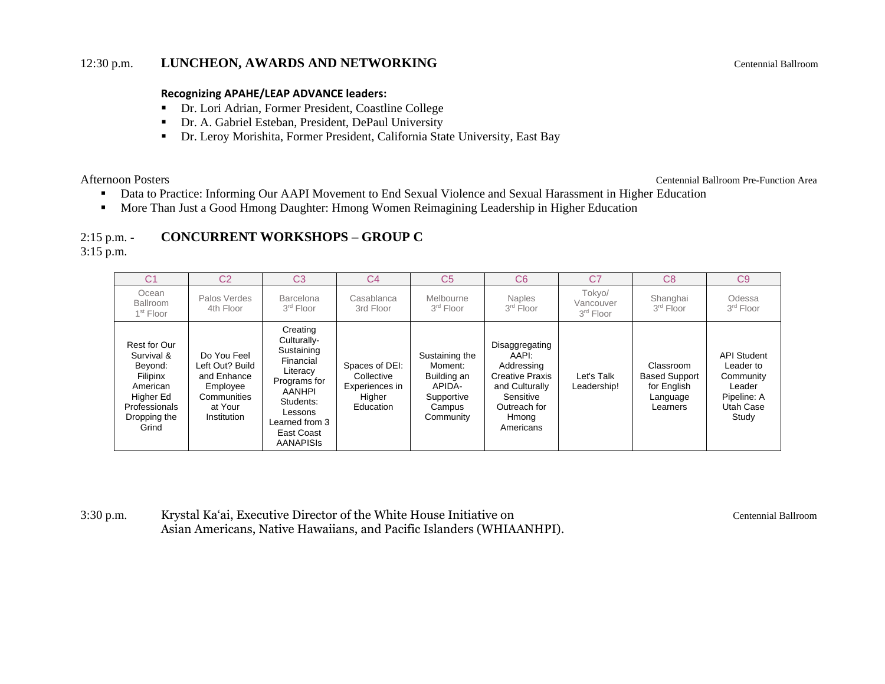### 12:30 p.m. **LUNCHEON, AWARDS AND NETWORKING** Centennial Ballroom

#### **Recognizing APAHE/LEAP ADVANCE leaders:**

- Dr. Lori Adrian, Former President, Coastline College
- Dr. A. Gabriel Esteban, President, DePaul University
- Dr. Leroy Morishita, Former President, California State University, East Bay

Afternoon Posters Centennial Ballroom Pre-Function Area

- Data to Practice: Informing Our AAPI Movement to End Sexual Violence and Sexual Harassment in Higher Education
- More Than Just a Good Hmong Daughter: Hmong Women Reimagining Leadership in Higher Education

### 2:15 p.m. - **CONCURRENT WORKSHOPS – GROUP C**  3:15 p.m.

| C <sub>1</sub>                                                                                                       | C2                                                                                                        | C <sub>3</sub>                                                                                                                                                       | C <sub>4</sub>                                                        | C <sub>5</sub>                                                                          | C <sub>6</sub>                                                                                                                       | C <sub>7</sub>                     | C <sub>8</sub>                                                           | C <sub>9</sub>                                                                              |
|----------------------------------------------------------------------------------------------------------------------|-----------------------------------------------------------------------------------------------------------|----------------------------------------------------------------------------------------------------------------------------------------------------------------------|-----------------------------------------------------------------------|-----------------------------------------------------------------------------------------|--------------------------------------------------------------------------------------------------------------------------------------|------------------------------------|--------------------------------------------------------------------------|---------------------------------------------------------------------------------------------|
| Ocean<br><b>Ballroom</b><br>1 <sup>st</sup> Floor                                                                    | Palos Verdes<br>4th Floor                                                                                 | Barcelona<br>$3rd$ Floor                                                                                                                                             | Casablanca<br>3rd Floor                                               | Melbourne<br>$3rd$ Floor                                                                | <b>Naples</b><br>$3rd$ Floor                                                                                                         | Tokyo/<br>Vancouver<br>$3rd$ Floor | Shanghai<br>$3rd$ Floor                                                  | Odessa<br>3 <sup>rd</sup> Floor                                                             |
| Rest for Our<br>Survival &<br>Beyond:<br>Filipinx<br>American<br>Higher Ed<br>Professionals<br>Dropping the<br>Grind | Do You Feel<br>Left Out? Build<br>and Enhance<br>Employee<br>Communities<br>at Your<br><b>Institution</b> | Creating<br>Culturally-<br>Sustaining<br>Financial<br>Literacy<br>Programs for<br>AANHPI<br>Students:<br>Lessons<br>Learned from 3<br>East Coast<br><b>AANAPISIS</b> | Spaces of DEI:<br>Collective<br>Experiences in<br>Higher<br>Education | Sustaining the<br>Moment:<br>Building an<br>APIDA-<br>Supportive<br>Campus<br>Community | Disaggregating<br>AAPI:<br>Addressing<br><b>Creative Praxis</b><br>and Culturally<br>Sensitive<br>Outreach for<br>Hmong<br>Americans | Let's Talk<br>Leadership!          | Classroom<br><b>Based Support</b><br>for English<br>Language<br>Learners | <b>API Student</b><br>Leader to<br>Community<br>Leader<br>Pipeline: A<br>Utah Case<br>Study |

3:30 p.m. Krystal Ka'ai, Executive Director of the White House Initiative on Centennial Ballroom Centennial Ballroom Asian Americans, Native Hawaiians, and Pacific Islanders (WHIAANHPI).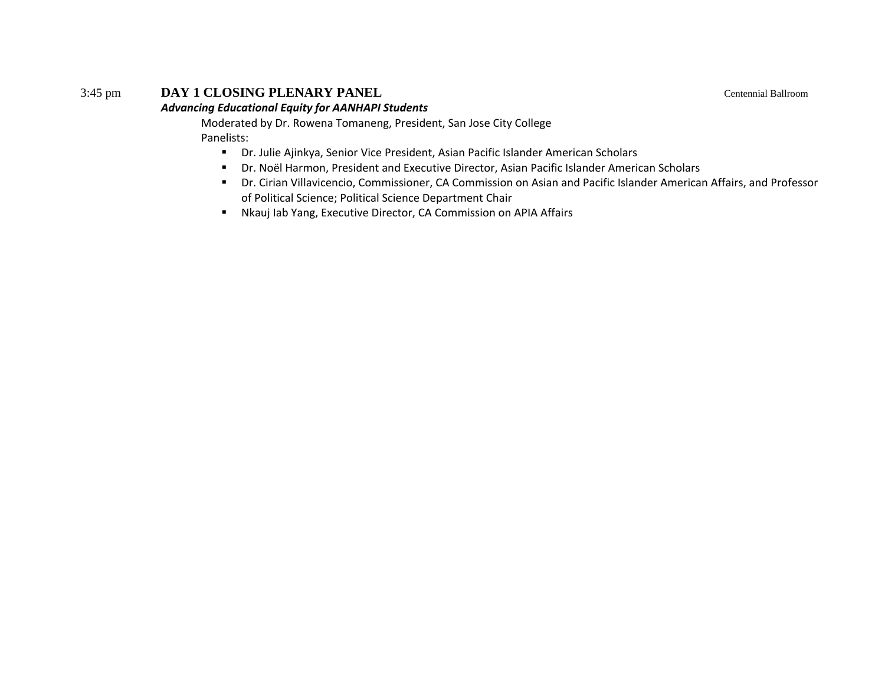### 3:45 pm **DAY 1 CLOSING PLENARY PANEL** Centennial Ballroom

### *Advancing Educational Equity for AANHAPI Students*

Moderated by Dr. Rowena Tomaneng, President, San Jose City College Panelists:

- Dr. Julie Ajinkya, Senior Vice President, Asian Pacific Islander American Scholars
- Dr. Noël Harmon, President and Executive Director, Asian Pacific Islander American Scholars
- Dr. Cirian Villavicencio, Commissioner, CA Commission on Asian and Pacific Islander American Affairs, and Professor of Political Science; Political Science Department Chair
- Nkauj Iab Yang, Executive Director, [CA Commission on APIA Affairs](https://caapicommission.org/)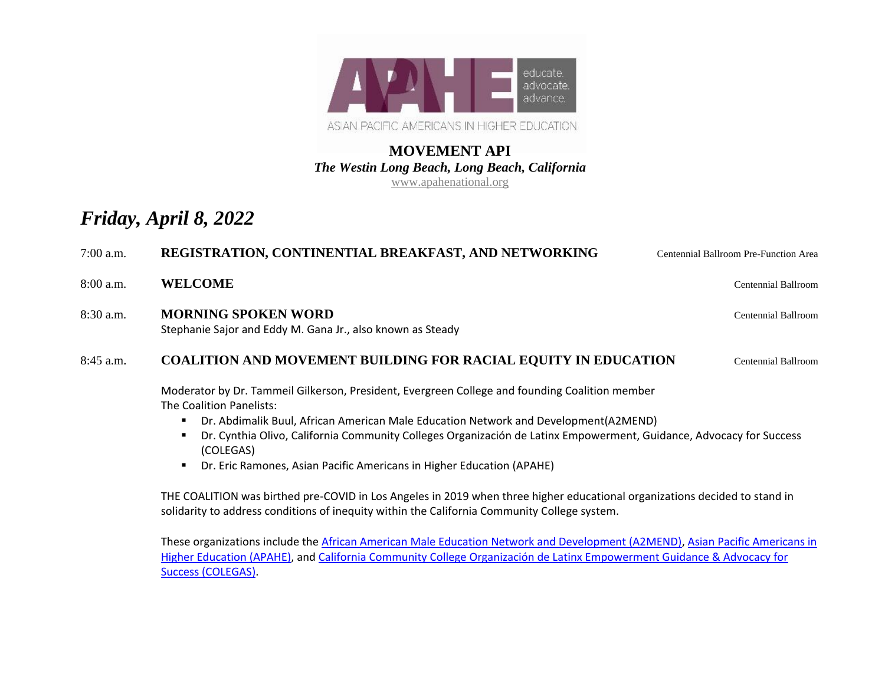

**MOVEMENT API**

*The Westin Long Beach, Long Beach, California* [www.apahenational.org](http://www.apahenational.org/)

# *Friday, April 8, 2022*

| $7:00$ a.m. | REGISTRATION, CONTINENTIAL BREAKFAST, AND NETWORKING                                                                                                                                                                                                                                                                                                                                                                                                       | Centennial Ballroom Pre-Function Area |  |  |  |  |  |  |
|-------------|------------------------------------------------------------------------------------------------------------------------------------------------------------------------------------------------------------------------------------------------------------------------------------------------------------------------------------------------------------------------------------------------------------------------------------------------------------|---------------------------------------|--|--|--|--|--|--|
| $8:00$ a.m. | <b>WELCOME</b>                                                                                                                                                                                                                                                                                                                                                                                                                                             | Centennial Ballroom                   |  |  |  |  |  |  |
| $8:30$ a.m. | <b>MORNING SPOKEN WORD</b><br>Stephanie Sajor and Eddy M. Gana Jr., also known as Steady                                                                                                                                                                                                                                                                                                                                                                   | Centennial Ballroom                   |  |  |  |  |  |  |
| 8:45 a.m.   | <b>COALITION AND MOVEMENT BUILDING FOR RACIAL EQUITY IN EDUCATION</b>                                                                                                                                                                                                                                                                                                                                                                                      | Centennial Ballroom                   |  |  |  |  |  |  |
|             | Moderator by Dr. Tammeil Gilkerson, President, Evergreen College and founding Coalition member<br>The Coalition Panelists:<br>Dr. Abdimalik Buul, African American Male Education Network and Development(A2MEND)<br>п<br>Dr. Cynthia Olivo, California Community Colleges Organización de Latinx Empowerment, Guidance, Advocacy for Success<br>$\blacksquare$<br>(COLEGAS)<br>Dr. Eric Ramones, Asian Pacific Americans in Higher Education (APAHE)<br>Е |                                       |  |  |  |  |  |  |
|             | THE COALITION was birthed pre-COVID in Los Angeles in 2019 when three higher educational organizations decided to stand in<br>solidarity to address conditions of inequity within the California Community College system.                                                                                                                                                                                                                                 |                                       |  |  |  |  |  |  |
|             | The contract of the final after a cost of all the cost and collective changes and an all the cost of a state of the and the cost                                                                                                                                                                                                                                                                                                                           |                                       |  |  |  |  |  |  |

These organizations include the [African American Male Education Network and Development \(A2MEND\),](https://a2mend.net/) [Asian Pacific Americans in](http://apahenational.org/)  [Higher Education \(APAHE\),](http://apahenational.org/) and [California Community College Organización de Latinx Empowerment Guidance & Advocacy for](https://cccolegas.org/)  [Success \(COLEGAS\).](https://cccolegas.org/)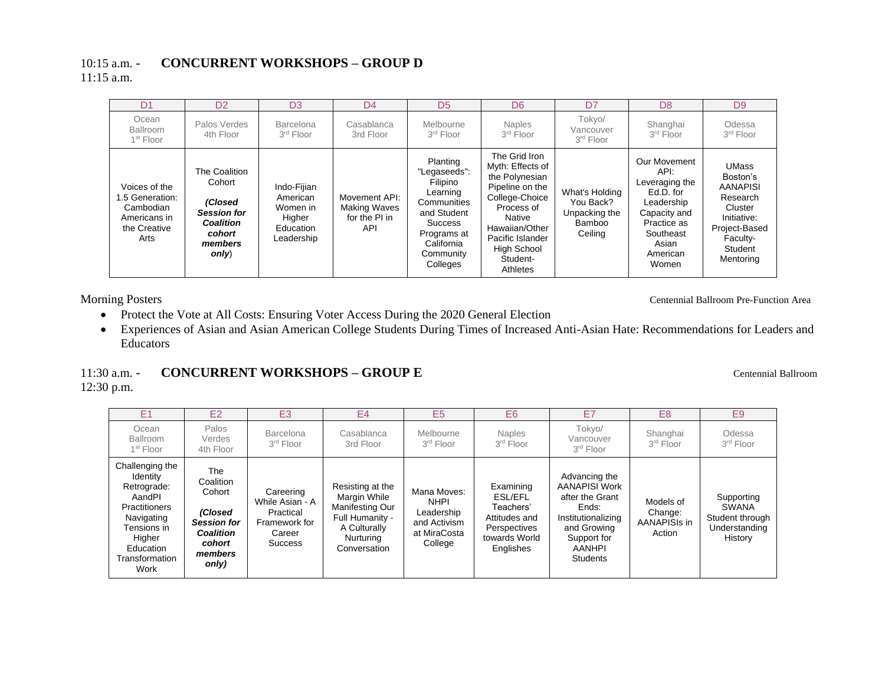## 10:15 a.m. - **CONCURRENT WORKSHOPS – GROUP D**

11:15 a.m.

| D <sub>1</sub>                                                                        | D <sub>2</sub>                                                                                             | D <sub>3</sub>                                                           | D <sub>4</sub>                                               | D <sub>5</sub>                                                                                                                                  | D <sub>6</sub>                                                                                                                                                                                              | D7                                                                | D <sub>8</sub>                                                                                                                              | D <sub>9</sub>                                                                                                                         |
|---------------------------------------------------------------------------------------|------------------------------------------------------------------------------------------------------------|--------------------------------------------------------------------------|--------------------------------------------------------------|-------------------------------------------------------------------------------------------------------------------------------------------------|-------------------------------------------------------------------------------------------------------------------------------------------------------------------------------------------------------------|-------------------------------------------------------------------|---------------------------------------------------------------------------------------------------------------------------------------------|----------------------------------------------------------------------------------------------------------------------------------------|
| Ocean<br><b>Ballroom</b><br>1 <sup>st</sup> Floor                                     | Palos Verdes<br>4th Floor                                                                                  | <b>Barcelona</b><br>3 <sup>rd</sup> Floor                                | Casablanca<br>3rd Floor                                      | Melbourne<br>$3rd$ Floor                                                                                                                        | <b>Naples</b><br>$3rd$ Floor                                                                                                                                                                                | Tokyo/<br>Vancouver<br>3rd Floor                                  | Shanghai<br>$3rd$ Floor                                                                                                                     | Odessa<br>$3rd$ Floor                                                                                                                  |
| Voices of the<br>I.5 Generation:<br>Cambodian<br>Americans in<br>the Creative<br>Arts | The Coalition<br>Cohort<br>(Closed<br><b>Session for</b><br><b>Coalition</b><br>cohort<br>members<br>only) | Indo-Fijian<br>American<br>Women in<br>Higher<br>Education<br>Leadership | Movement API:<br><b>Making Waves</b><br>for the PI in<br>API | Planting<br>"Legaseeds":<br>Filipino<br>Learning<br>Communities<br>and Student<br>Success<br>Programs at<br>California<br>Community<br>Colleges | The Grid Iron<br>Myth: Effects of<br>the Polynesian<br>Pipeline on the<br>College-Choice<br>Process of<br><b>Native</b><br>Hawaiian/Other<br>Pacific Islander<br><b>High School</b><br>Student-<br>Athletes | What's Holding<br>You Back?<br>Unpacking the<br>Bamboo<br>Ceiling | Our Movement<br>API:<br>Leveraging the<br>Ed.D. for<br>Leadership<br>Capacity and<br>Practice as<br>Southeast<br>Asian<br>American<br>Women | <b>UMass</b><br>Boston's<br><b>AANAPISI</b><br>Research<br>Cluster<br>Initiative:<br>Project-Based<br>Faculty-<br>Student<br>Mentoring |

Morning Posters Centennial Ballroom Pre-Function Area

- Protect the Vote at All Costs: Ensuring Voter Access During the 2020 General Election
- Experiences of Asian and Asian American College Students During Times of Increased Anti-Asian Hate: Recommendations for Leaders and **Educators**

## 11:30 a.m. - **CONCURRENT WORKSHOPS – GROUP E** Centennial Ballroom

12:30 p.m.

| F <sub>1</sub>                                                                                                                                             | E2                                                                                                            | E <sub>3</sub>                                                                  | E <sub>4</sub>                                                                                                      | E <sub>5</sub>                                                                      | E <sub>6</sub>                                                                                   | F7                                                                                                                                                 | E <sub>8</sub>                                 | E <sub>9</sub>                                                            |
|------------------------------------------------------------------------------------------------------------------------------------------------------------|---------------------------------------------------------------------------------------------------------------|---------------------------------------------------------------------------------|---------------------------------------------------------------------------------------------------------------------|-------------------------------------------------------------------------------------|--------------------------------------------------------------------------------------------------|----------------------------------------------------------------------------------------------------------------------------------------------------|------------------------------------------------|---------------------------------------------------------------------------|
| Ocean<br><b>Ballroom</b><br>1 <sup>st</sup> Floor                                                                                                          | Palos<br>Verdes<br>4th Floor                                                                                  | Barcelona<br>$3rd$ Floor                                                        | Casablanca<br>3rd Floor                                                                                             | Melbourne<br>$3rd$ Floor                                                            | <b>Naples</b><br>$3rd$ Floor                                                                     | Tokyo/<br>Vancouver<br>$3rd$ Floor                                                                                                                 | Shanghai<br>$3rd$ Floor                        | Odessa<br>$3rd$ Floor                                                     |
| Challenging the<br>Identity<br>Retrograde:<br>AandPI<br><b>Practitioners</b><br>Navigating<br>Tensions in<br>Higher<br>Education<br>Transformation<br>Work | The<br>Coalition<br>Cohort<br>(Closed<br><b>Session for</b><br><b>Coalition</b><br>cohort<br>members<br>only) | Careering<br>While Asian - A<br>Practical<br>Framework for<br>Career<br>Success | Resisting at the<br>Margin While<br>Manifesting Our<br>Full Humanity -<br>A Culturally<br>Nurturing<br>Conversation | Mana Moves:<br><b>NHPI</b><br>Leadership<br>and Activism<br>at MiraCosta<br>College | Examining<br>ESL/EFL<br>Teachers'<br>Attitudes and<br>Perspectives<br>towards World<br>Englishes | Advancing the<br><b>AANAPISI Work</b><br>after the Grant<br>Ends:<br>Institutionalizing<br>and Growing<br>Support for<br>AANHPI<br><b>Students</b> | Models of<br>Change:<br>AANAPISIs in<br>Action | Supporting<br><b>SWANA</b><br>Student through<br>Understanding<br>History |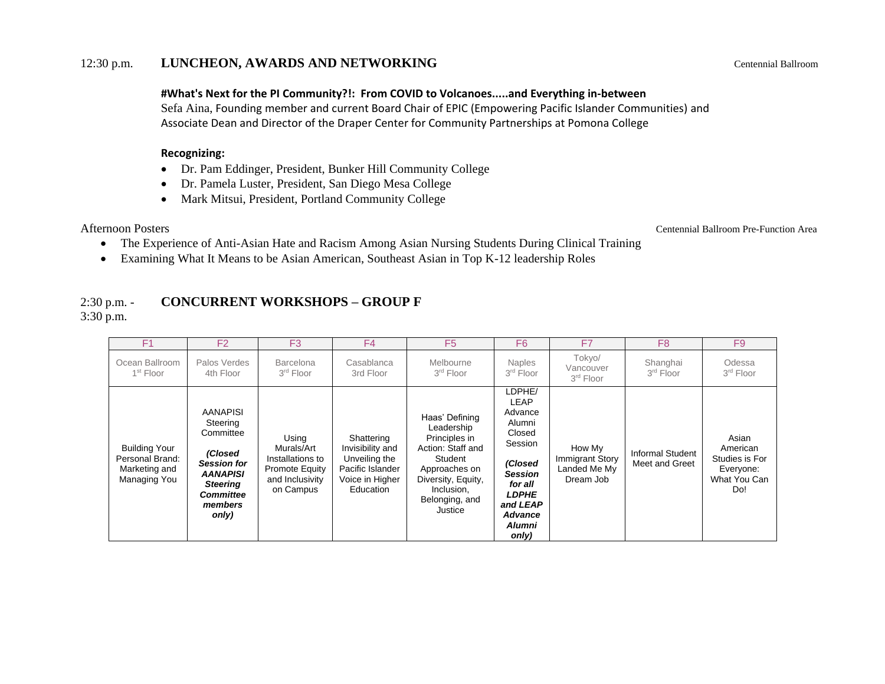### 12:30 p.m. **LUNCHEON, AWARDS AND NETWORKING** Centennial Ballroom

### **#What's Next for the PI Community?!: From COVID to Volcanoes.....and Everything in-between**

Sefa Aina, Founding member and current Board Chair of EPIC (Empowering Pacific Islander Communities) and Associate Dean and Director of the Draper Center for Community Partnerships at Pomona College

### **Recognizing:**

- Dr. Pam Eddinger, President, Bunker Hill Community College
- Dr. Pamela Luster, President, San Diego Mesa College
- Mark Mitsui, President, Portland Community College

- Afternoon Posters Centennial Ballroom Pre-Function Area
	- The Experience of Anti-Asian Hate and Racism Among Asian Nursing Students During Clinical Training
	- Examining What It Means to be Asian American, Southeast Asian in Top K-12 leadership Roles

## 2:30 p.m. - **CONCURRENT WORKSHOPS – GROUP F**

3:30 p.m.

| F <sub>1</sub>                                                           | F <sub>2</sub>                                                                                                                                          | F <sub>3</sub>                                                                                   | F <sub>4</sub>                                                                                      | F <sub>5</sub>                                                                                                                                                  | F <sub>6</sub>                                                                                                                                                           | F7                                                            | F <sub>8</sub>                            | F <sub>9</sub>                                                          |
|--------------------------------------------------------------------------|---------------------------------------------------------------------------------------------------------------------------------------------------------|--------------------------------------------------------------------------------------------------|-----------------------------------------------------------------------------------------------------|-----------------------------------------------------------------------------------------------------------------------------------------------------------------|--------------------------------------------------------------------------------------------------------------------------------------------------------------------------|---------------------------------------------------------------|-------------------------------------------|-------------------------------------------------------------------------|
| Ocean Ballroom<br>1 <sup>st</sup> Floor                                  | Palos Verdes<br>4th Floor                                                                                                                               | <b>Barcelona</b><br>3 <sup>rd</sup> Floor                                                        | Casablanca<br>3rd Floor                                                                             | Melbourne<br>$3rd$ Floor                                                                                                                                        | <b>Naples</b><br>3 <sup>rd</sup> Floor                                                                                                                                   | Tokyo/<br>Vancouver<br>3rd Floor                              | Shanghai<br>$3rd$ Floor                   | Odessa<br>3 <sup>rd</sup> Floor                                         |
| <b>Building Your</b><br>Personal Brand:<br>Marketing and<br>Managing You | <b>AANAPISI</b><br>Steering<br>Committee<br>(Closed<br><b>Session for</b><br><b>AANAPISI</b><br><b>Steering</b><br><b>Committee</b><br>members<br>only) | Using<br>Murals/Art<br>Installations to<br><b>Promote Equity</b><br>and Inclusivity<br>on Campus | Shattering<br>Invisibility and<br>Unveiling the<br>Pacific Islander<br>Voice in Higher<br>Education | Haas' Defining<br>Leadership<br>Principles in<br>Action: Staff and<br>Student<br>Approaches on<br>Diversity, Equity,<br>Inclusion.<br>Belonging, and<br>Justice | LDPHE/<br>LEAP<br>Advance<br>Alumni<br>Closed<br>Session<br>(Closed<br><b>Session</b><br>for all<br><b>LDPHE</b><br>and LEAP<br><b>Advance</b><br><b>Alumni</b><br>only) | How My<br><b>Immigrant Story</b><br>Landed Me My<br>Dream Job | <b>Informal Student</b><br>Meet and Greet | Asian<br>American<br>Studies is For<br>Everyone:<br>What You Can<br>Do! |